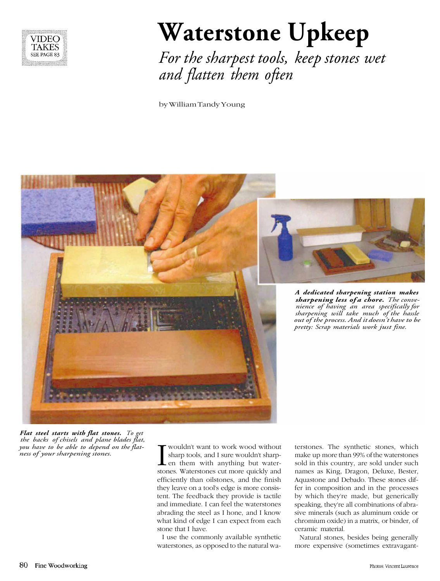

# **Waterstone Upkeep**

*For the sharpest tools, keep stones wet and flatten them often*

by William Tandy Young





*A dedicated sharpening station makes sharpening less of a chore. The convenience of having an area specifically for sharpening will take much of the hassle out of the process. And it doesn't have to be pretty: Scrap materials work just fine.*

*Flat steel starts with flat stones. To get the backs of chisels and plane blades flat, you have to be able to depend on the flat-ness of your sharpening stones.* I

wouldn't want to work wood without sharp tools, and I sure wouldn't sharp- $\blacktriangle$  en them with anything but waterstones. Waterstones cut more quickly and efficiently than oilstones, and the finish they leave on a tool's edge is more consistent. The feedback they provide is tactile and immediate. I can feel the waterstones abrading the steel as I hone, and I know what kind of edge I can expect from each stone that I have.

I use the commonly available synthetic waterstones, as opposed to the natural wa-

terstones. The synthetic stones, which make up more than 99% of the waterstones sold in this country, are sold under such names as King, Dragon, Deluxe, Bester, Aquastone and Debado. These stones differ in composition and in the processes by which they're made, but generically speaking, they're all combinations of abrasive minerals (such as aluminum oxide or chromium oxide) in a matrix, or binder, of ceramic material.

Natural stones, besides being generally more expensive (sometimes extravagant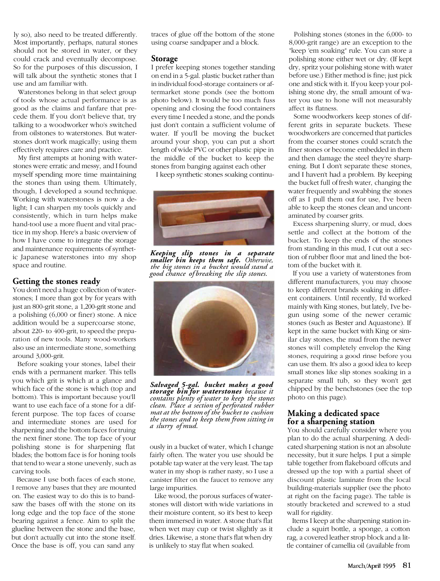ly so), also need to be treated differently. Most importantly, perhaps, natural stones should not be stored in water, or they could crack and eventually decompose. So for the purposes of this discussion, I will talk about the synthetic stones that I use and am familiar with.

Waterstones belong in that select group of tools whose actual performance is as good as the claims and fanfare that precede them. If you don't believe that, try talking to a woodworker who's switched from oilstones to waterstones. But waterstones don't work magically; using them effectively requires care and practice.

My first attempts at honing with waterstones were erratic and messy, and I found myself spending more time maintaining the stones than using them. Ultimately, though, I developed a sound technique. Working with waterstones is now a delight; I can sharpen my tools quickly and consistently, which in turn helps make hand-tool use a more fluent and vital practice in my shop. Here's a basic overview of how I have come to integrate the storage and maintenance requirements of synthetic Japanese waterstones into my shop space and routine.

## **Getting the stones ready**

You don't need a huge collection of waterstones; I more than got by for years with just an 800-grit stone, a 1,200-grit stone and a polishing (6,000 or finer) stone. A nice addition would be a supercoarse stone, about 220- to 400-grit, to speed the preparation of new tools. Many wood-workers also use an intermediate stone, something around 3,000-grit.

Before soaking your stones, label their ends with a permanent marker. This tells you which grit is which at a glance and which face of the stone is which (top and bottom). This is important because you'll want to use each face of a stone for a different purpose. The top faces of coarse and intermediate stones are used for sharpening and the bottom faces for truing the next finer stone. The top face of your polishing stone is for sharpening flat blades; the bottom face is for honing tools that tend to wear a stone unevenly, such as carving tools.

Because I use both faces of each stone, I remove any bases that they are mounted on. The easiest way to do this is to bandsaw the bases off with the stone on its long edge and the top face of the stone bearing against a fence. Aim to split the glueline between the stone and the base, but don't actually cut into the stone itself. Once the base is off, you can sand any

traces of glue off the bottom of the stone using coarse sandpaper and a block.

#### **Storage**

I prefer keeping stones together standing on end in a 5-gal. plastic bucket rather than in individual food-storage containers or aftermarket stone ponds (see the bottom photo below). It would be too much fuss opening and closing the food containers every time I needed a stone, and the ponds just don't contain a sufficient volume of water. If you'll be moving the bucket around your shop, you can put a short length of wide PVC or other plastic pipe in the middle of the bucket to keep the stones from banging against each other

I keep synthetic stones soaking continu-



*Keeping slip stones in a separate smaller bin keeps them safe. Otherwise, the big stones in a bucket would stand a good chance of breaking the slip stones.*



*Salvaged 5-gal. bucket makes a good storage bin for waterstones because it contains plenty of water to keep the stones clean. Place a section of perforated rubber mat at the bottom of the bucket to cushion the stones and to keep them from sitting in a slurry of mud.*

ously in a bucket of water, which I change fairly often. The water you use should be potable tap water at the very least. The tap water in my shop is rather nasty, so I use a canister filter on the faucet to remove any large impurities.

Like wood, the porous surfaces of waterstones will distort with wide variations in their moisture content, so it's best to keep them immersed in water. A stone that's flat when wet may cup or twist slightly as it dries. Likewise, a stone that's flat when dry is unlikely to stay flat when soaked.

Polishing stones (stones in the 6,000- to 8,000-grit range) are an exception to the "keep 'em soaking" rule. You can store a polishing stone either wet or dry. (If kept dry, spritz your polishing stone with water before use.) Either method is fine; just pick one and stick with it. If you keep your polishing stone dry, the small amount of water you use to hone will not measurably affect its flatness.

Some woodworkers keep stones of different grits in separate buckets. These woodworkers are concerned that particles from the coarser stones could scratch the finer stones or become embedded in them and then damage the steel they're sharpening. But I don't separate these stones, and I haven't had a problem. By keeping the bucket full of fresh water, changing the water frequently and swabbing the stones off as I pull them out for use, I've been able to keep the stones clean and uncontaminated by coarser grits.

Excess sharpening slurry, or mud, does settle and collect at the bottom of the bucket. To keep the ends of the stones from standing in this mud, I cut out a section of rubber floor mat and lined the bottom of the bucket with it.

If you use a variety of waterstones from different manufacturers, you may choose to keep different brands soaking in different containers. Until recently, I'd worked mainly with King stones, but lately, I've begun using some of the newer ceramic stones (such as Bester and Aquastone). If kept in the same bucket with King or similar clay stones, the mud from the newer stones will completely envelop the King stones, requiring a good rinse before you can use them. It's also a good idea to keep small stones like slip stones soaking in a separate small tub, so they won't get chipped by the benchstones (see the top photo on this page).

## **Making a dedicated space for a sharpening station**

You should carefully consider where you plan to do the actual sharpening. A dedicated sharpening station is not an absolute necessity, but it sure helps. I put a simple table together from flakeboard offcuts and dressed up the top with a partial sheet of discount plastic laminate from the local building-materials supplier (see the photo at right on the facing page). The table is stoutly bracketed and screwed to a stud wall for rigidity.

Items I keep at the sharpening station include a squirt bottle, a sponge, a cotton rag, a covered leather strop block and a little container of camellia oil (available from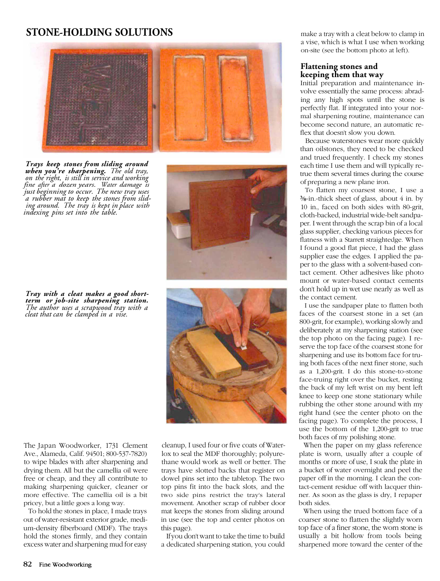## **STONE-HOLDING SOLUTIONS**



*Trays keep stones from sliding around when you're sharpening. The old tray, on the right, is still in service and working fine after a dozen years. Water damage is just beginning to occur. The new tray uses a rubber mat to keep the stones from sliding around. The tray is kept in place with indexing pins set into the table.*

*Tray with a cleat makes a good shortterm or job-site sharpening station. The author uses a scrapwood tray with a cleat that can be clamped in a vise.*

The Japan Woodworker, 1731 Clement Ave., Alameda, Calif. 94501; 800-537-7820) to wipe blades with after sharpening and drying them. All but the camellia oil were free or cheap, and they all contribute to making sharpening quicker, cleaner or more effective. The camellia oil is a bit pricey, but a little goes a long way.

To hold the stones in place, I made trays out of water-resistant exterior grade, medium-density fiberboard (MDF). The trays hold the stones firmly, and they contain excess water and sharpening mud for easy cleanup, I used four or five coats of Waterlox to seal the MDF thoroughly; polyurethane would work as well or better. The trays have slotted backs that register on dowel pins set into the tabletop. The two top pins fit into the back slots, and the two side pins restrict the tray's lateral movement. Another scrap of rubber door mat keeps the stones from sliding around in use (see the top and center photos on this page).

If you don't want to take the time to build a dedicated sharpening station, you could make a tray with a cleat below to clamp in a vise, which is what I use when working on-site (see the bottom photo at left).

### **Flattening stones and keeping them that way**

Initial preparation and maintenance involve essentially the same process: abrading any high spots until the stone is perfectly flat. If integrated into your normal sharpening routine, maintenance can become second nature, an automatic reflex that doesn't slow you down.

Because waterstones wear more quickly than oilstones, they need to be checked and trued frequently. I check my stones each time I use them and will typically retrue them several times during the course of preparing a new plane iron.

To flatten my coarsest stone, I use a  $\frac{3}{8}$ -in.-thick sheet of glass, about 4 in. by 10 in., faced on both sides with 80-grit, cloth-backed, industrial wide-belt sandpaper. I went through the scrap bin of a local glass supplier, checking various pieces for flatness with a Starrett straightedge. When I found a good flat piece, I had the glass supplier ease the edges. I applied the paper to the glass with a solvent-based contact cement. Other adhesives like photo mount or water-based contact cements don't hold up in wet use nearly as well as the contact cement.

I use the sandpaper plate to flatten both faces of the coarsest stone in a set (an 800-grit, for example), working slowly and deliberately at my sharpening station (see the top photo on the facing page). I reserve the top face of the coarsest stone for sharpening and use its bottom face for truing both faces of the next finer stone, such as a 1,200-grit. I do this stone-to-stone face-truing right over the bucket, resting the back of my left wrist on my bent left knee to keep one stone stationary while rubbing the other stone around with my right hand (see the center photo on the facing page). To complete the process, I use the bottom of the 1,200-grit to true both faces of my polishing stone.

When the paper on my glass reference plate is worn, usually after a couple of months or more of use, I soak the plate in a bucket of water overnight and peel the paper off in the morning. I clean the contact-cement residue off with lacquer thinner. As soon as the glass is dry, I repaper both sides.

When using the trued bottom face of a coarser stone to flatten the slightly worn top face of a finer stone, the worn stone is usually a bit hollow from tools being sharpened more toward the center of the